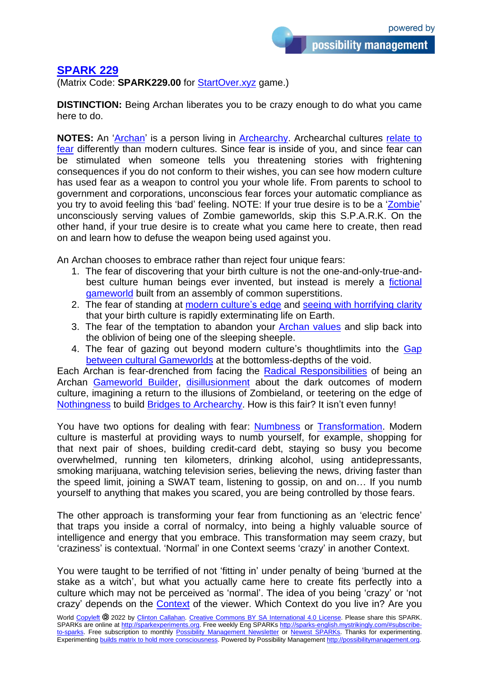## **[SPARK 229](https://sparks-english.mystrikingly.com/)**

(Matrix Code: **SPARK229.00** for [StartOver.xyz](http://startoverxyz.mystrikingly.com/) game.)

**DISTINCTION:** Being Archan liberates you to be crazy enough to do what you came here to do.

**NOTES:** An ['Archan'](http://archan.mystrikingly.com/) is a person living in [Archearchy.](http://archearchy.mystrikingly.com/) Archearchal cultures [relate to](http://consciousfear.mystrikingly.com/)  [fear](http://consciousfear.mystrikingly.com/) differently than modern cultures. Since fear is inside of you, and since fear can be stimulated when someone tells you threatening stories with frightening consequences if you do not conform to their wishes, you can see how modern culture has used fear as a weapon to control you your whole life. From parents to school to government and corporations, unconscious fear forces your automatic compliance as you try to avoid feeling this 'bad' feeling. NOTE: If your true desire is to be a ['Zombie'](http://zombies.mystrikingly.com/) unconsciously serving values of Zombie gameworlds, skip this S.P.A.R.K. On the other hand, if your true desire is to create what you came here to create, then read on and learn how to defuse the weapon being used against you.

An Archan chooses to embrace rather than reject four unique fears:

- 1. The fear of discovering that your birth culture is not the one-and-only-true-andbest culture human beings ever invented, but instead is merely a [fictional](http://gameworldtheory.mystrikingly.com/) [gameworld](http://gameworldtheory.mystrikingly.com/) built from an assembly of common superstitions.
- 2. The fear of standing at modern [culture's](http://gototheedge.mystrikingly.com/) edge and [seeing with horrifying clarity](http://whatnow.mystrikingly.com/) that your birth culture is rapidly exterminating life on Earth.
- 3. The fear of the temptation to abandon your [Archan](http://nonmaterialvalue.mystrikingly.com/) values and slip back into the oblivion of being one of the sleeping sheeple.
- 4. The fear of gazing out beyond modern culture's thoughtlimits into the [Gap](http://9gaps.mystrikingly.com/) between [cultural Gameworlds](http://9gaps.mystrikingly.com/) at the bottomless-depths of the void.

Each Archan is fear-drenched from facing the [Radical Responsibilities](http://radicalresponsibility.mystrikingly.com/) of being an Archan [Gameworld Builder,](http://gameworldbuilder.mystrikingly.com/) [disillusionment](http://disillusionment.mystrikingly.com/) about the dark outcomes of modern culture, imagining a return to the illusions of Zombieland, or teetering on the edge of [Nothingness](http://nothingnesss.mystrikingly.com/) to build [Bridges to Archearchy.](http://becomeabridge.mystrikingly.com/) How is this fair? It isn't even funny!

You have two options for dealing with fear: [Numbness](http://numbnessbar.mystrikingly.com/) or [Transformation.](http://causetransformation.mystrikingly.com/) Modern culture is masterful at providing ways to numb yourself, for example, shopping for that next pair of shoes, building credit-card debt, staying so busy you become overwhelmed, running ten kilometers, drinking alcohol, using antidepressants, smoking marijuana, watching television series, believing the news, driving faster than the speed limit, joining a SWAT team, listening to gossip, on and on… If you numb yourself to anything that makes you scared, you are being controlled by those fears.

The other approach is transforming your fear from functioning as an 'electric fence' that traps you inside a corral of normalcy, into being a highly valuable source of intelligence and energy that you embrace. This transformation may seem crazy, but 'craziness' is contextual. 'Normal' in one Context seems 'crazy' in another Context.

You were taught to be terrified of not 'fitting in' under penalty of being 'burned at the stake as a witch', but what you actually came here to create fits perfectly into a culture which may not be perceived as 'normal'. The idea of you being 'crazy' or 'not crazy' depends on the [Context](http://setcontext.mystrikingly.com/) of the viewer. Which Context do you live in? Are you